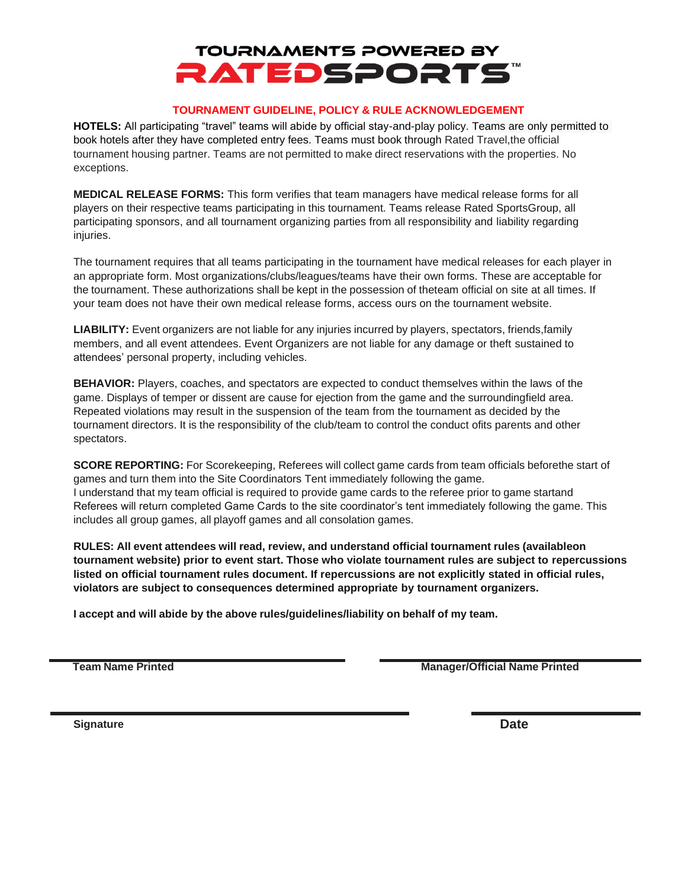## **TOURNAMENTS POWERED BY RATEDSPORTS**

#### **TOURNAMENT GUIDELINE, POLICY & RULE ACKNOWLEDGEMENT**

**HOTELS:** All participating "travel" teams will abide by official stay-and-play policy. Teams are only permitted to book hotels after they have completed entry fees. Teams must book through Rated Travel,the official tournament housing partner. Teams are not permitted to make direct reservations with the properties. No exceptions.

**MEDICAL RELEASE FORMS:** This form verifies that team managers have medical release forms for all players on their respective teams participating in this tournament. Teams release Rated SportsGroup, all participating sponsors, and all tournament organizing parties from all responsibility and liability regarding injuries.

The tournament requires that all teams participating in the tournament have medical releases for each player in an appropriate form. Most organizations/clubs/leagues/teams have their own forms. These are acceptable for the tournament. These authorizations shall be kept in the possession of theteam official on site at all times. If your team does not have their own medical release forms, access ours on the tournament website.

**LIABILITY:** Event organizers are not liable for any injuries incurred by players, spectators, friends,family members, and all event attendees. Event Organizers are not liable for any damage or theft sustained to attendees' personal property, including vehicles.

**BEHAVIOR:** Players, coaches, and spectators are expected to conduct themselves within the laws of the game. Displays of temper or dissent are cause for ejection from the game and the surroundingfield area. Repeated violations may result in the suspension of the team from the tournament as decided by the tournament directors. It is the responsibility of the club/team to control the conduct ofits parents and other spectators.

**SCORE REPORTING:** For Scorekeeping, Referees will collect game cards from team officials beforethe start of games and turn them into the Site Coordinators Tent immediately following the game. I understand that my team official is required to provide game cards to the referee prior to game startand Referees will return completed Game Cards to the site coordinator's tent immediately following the game. This includes all group games, all playoff games and all consolation games.

**RULES: All event attendees will read, review, and understand official tournament rules (availableon tournament website) prior to event start. Those who violate tournament rules are subject to repercussions listed on official tournament rules document. If repercussions are not explicitly stated in official rules, violators are subject to consequences determined appropriate by tournament organizers.**

**I accept and will abide by the above rules/guidelines/liability on behalf of my team.**

**Team Name Printed Manager/Official Name Printed**

**Signature Date**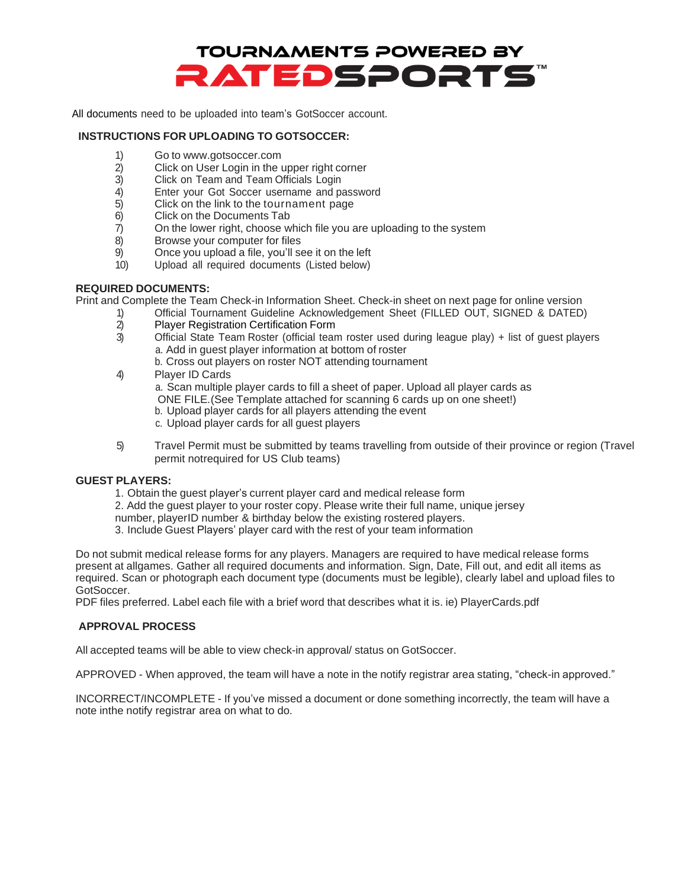

All documents need to be uploaded into team's GotSoccer account.

#### **INSTRUCTIONS FOR UPLOADING TO GOTSOCCER:**

- 1) Go to [www.gotsoccer.com](http://www.gotsoccer.com/)
- 2) Click on User Login in the upper right corner
- 3) Click on Team and Team Officials Login
- 4) Enter your Got Soccer username and password
- 5) Click on the link to the tournament page
- 6) Click on the Documents Tab
- 7) On the lower right, choose which file you are uploading to the system
- 8) Browse your computer for files
- 9) Once you upload a file, you'll see it on the left
- 10) Upload all required documents (Listed below)

#### **REQUIRED DOCUMENTS:**

Print and Complete the Team Check-in Information Sheet. Check-in sheet on next page for online version

- 1) Official Tournament Guideline Acknowledgement Sheet (FILLED OUT, SIGNED & DATED)
- 2) Player Registration Certification Form
- 3) Official State Team Roster (official team roster used during league play) + list of guest players a. Add in guest player information at bottom of roster
	- b. Cross out players on roster NOT attending tournament
- 4) Player ID Cards
	- a. Scan multiple player cards to fill a sheet of paper. Upload all player cards as
	- ONE FILE.(See Template attached for scanning 6 cards up on one sheet!)
	- b. Upload player cards for all players attending the event
	- c. Upload player cards for all guest players
- 5) Travel Permit must be submitted by teams travelling from outside of their province or region (Travel permit notrequired for US Club teams)

#### **GUEST PLAYERS:**

- 1. Obtain the guest player's current player card and medical release form
- 2. Add the guest player to your roster copy. Please write their full name, unique jersey
- number, playerID number & birthday below the existing rostered players.
- 3. Include Guest Players' player card with the rest of your team information

Do not submit medical release forms for any players. Managers are required to have medical release forms present at allgames. Gather all required documents and information. Sign, Date, Fill out, and edit all items as required. Scan or photograph each document type (documents must be legible), clearly label and upload files to GotSoccer.

PDF files preferred. Label each file with a brief word that describes what it is. ie) PlayerCards.pdf

#### **APPROVAL PROCESS**

All accepted teams will be able to view check-in approval/ status on GotSoccer.

APPROVED - When approved, the team will have a note in the notify registrar area stating, "check-in approved."

INCORRECT/INCOMPLETE - If you've missed a document or done something incorrectly, the team will have a note inthe notify registrar area on what to do.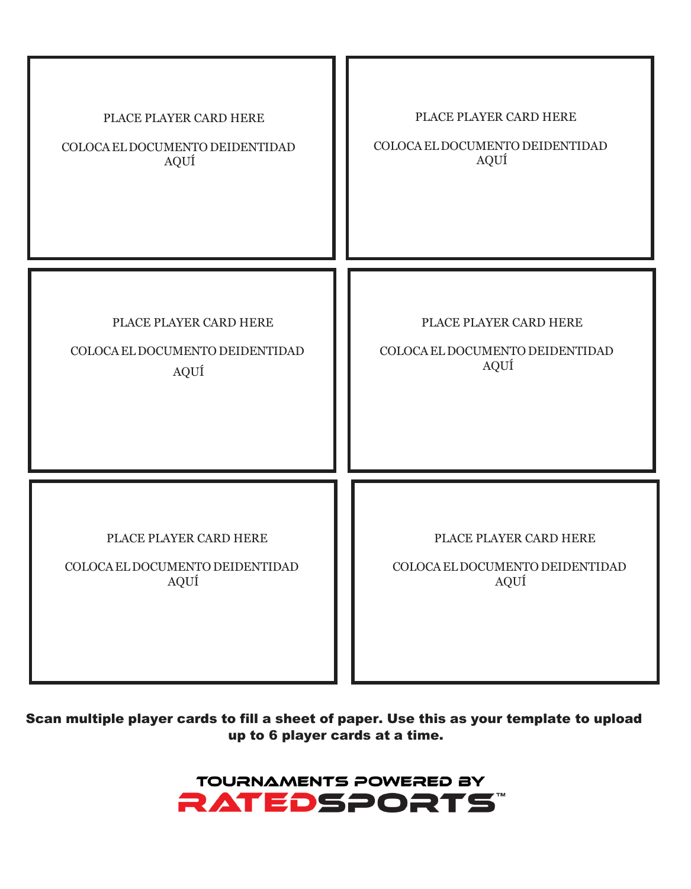| PLACE PLAYER CARD HERE          | PLACE PLAYER CARD HERE          |
|---------------------------------|---------------------------------|
| COLOCA EL DOCUMENTO DEIDENTIDAD | COLOCA EL DOCUMENTO DEIDENTIDAD |
| AQUÍ                            | AQUÍ                            |
| PLACE PLAYER CARD HERE          | PLACE PLAYER CARD HERE          |
| COLOCA EL DOCUMENTO DEIDENTIDAD | COLOCA EL DOCUMENTO DEIDENTIDAD |
| AQUÍ                            | AQUÍ                            |
| PLACE PLAYER CARD HERE          | PLACE PLAYER CARD HERE          |
| COLOCA EL DOCUMENTO DEIDENTIDAD | COLOCA EL DOCUMENTO DEIDENTIDAD |
| AQUÍ                            | AQUÍ                            |

### Scan multiple player cards to fill a sheet of paper. Use this as your template to upload up to 6 player cards at a time.